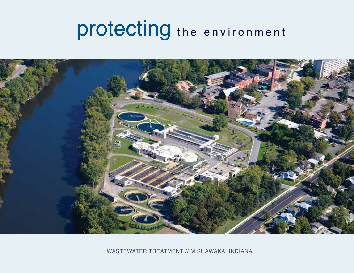# protecting the environment



WASTEWATER TREATMENT // MISHAWAKA, INDIANA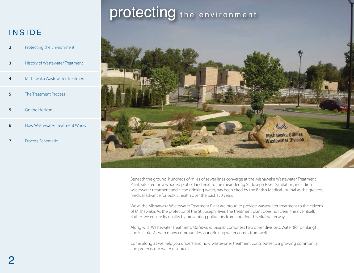### **INSIDE**

| 2 | Protecting the Environment      |
|---|---------------------------------|
| з | History of Wastewater Treatment |
| 4 | Mishawaka Wastewater Treatment  |
| 5 | The Treatment Process           |
| 5 | On the Horizon                  |
| 6 | How Wastewater Treatment Works  |

**7** Process Schematic

# protecting the environment



Beneath the ground, hundreds of miles of sewer lines converge at the Mishawaka Wastewater Treatment Plant, situated on a wooded plot of land next to the meandering St. Joseph River. Sanitation, including wastewater treatment and clean drinking water, has been cited by the British Medical Journal as the greatest medical advance for public health over the past 150 years.

We at the Mishawaka Wastewater Treatment Plant are proud to provide wastewater treatment to the citizens of Mishawaka. As the protector of the St. Joseph River, the treatment plant does not clean the river itself. Rather, we ensure its quality by preventing pollutants from entering this vital waterway.

Along with Wastewater Treatment, *Mishawaka Utilities* comprises two other divisions: Water (for drinking) and Electric. As with many communities, our drinking water comes from wells.

Come along as we help you understand how wastewater treatment contributes to a growing community and protects our water resources.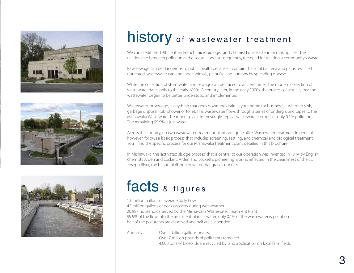





# history of wastewater treatment

We can credit the 19th century French microbiologist and chemist Louis Pasteur for making clear the relationship between pollution and disease—and, subsequently, the need for treating a community's waste.

Raw sewage can be dangerous to public health because it contains harmful bacteria and parasites. If left untreated, wastewater can endanger animals, plant life and humans by spreading disease.

While the collection of stormwater and sewage can be traced to ancient times, the modern collection of wastewater dates only to the early 1800s. A century later, in the early 1900s, the process of actually treating wastewater began to be better understood and implemented.

Wastewater, or sewage, is anything that goes down the drain in your home (or business)—whether sink, garbage disposal, tub, shower or toilet. This wastewater flows through a series of underground pipes to the Mishawaka Wastewater Treatment plant. Interestingly, typical wastewater comprises only 0.1% pollution. The remaining 99.9% is just water.

Across the country, no two wastewater treatment plants are quite alike. Wastewater treatment in general, however, follows a basic process that includes screening, settling, and chemical and biological treatment. You'll find the specific process for our Mishawaka treatment plant detailed in this brochure.

In Mishawaka, the "activated sludge process" that is central to our operation was invented in 1914 by English chemists Arden and Lockett. Arden and Lockett's pioneering work is reflected in the cleanliness of the St. Joseph River, the beautiful ribbon of water that graces our City.

# facts & figures

13 million gallons of average daily flow 42 million gallons of peak capacity during wet weather 20,987 households served by the Mishawaka Wastewater Treatment Plant 99.9% of the flow into the treatment plant is water; only 0.1% of the wastewater is pollution half of the pollutants are dissolved and half are suspended

Annually: Over 4 billion gallons treated Over 7 million pounds of pollutants removed 4,000 tons of biosolids are recycled by land application on local farm fields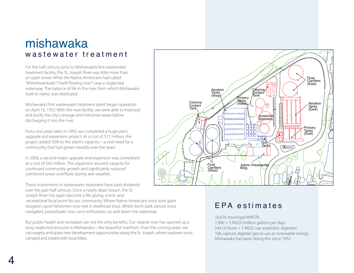### mishawaka was tewater treatment

For the half century prior to Mishawaka's first wastewater treatment facility, the St. Joseph River was little more than an open sewer. What the Native Americans had called "M'shehwahkeek" ("swift flowing river") was a neglected waterway. The balance of life in the river, from which Mishawaka took its name, was destroyed.

Mishawaka's first wastewater treatment plant began operation on April 15, 1952. With the new facility, we were able to intercept and purify the city's sewage and industrial waste before discharging it into the river.

Forty-one years later, in 1993, we completed a huge plant upgrade and expansion project. At a cost of \$17 million, the project added 50% to the plant's capacity—a vital need for a community that had grown steadily over the years.

In 2008, a second major upgrade and expansion was completed at a cost of \$42 million. This expansion assured capacity for continued community growth and significantly reduced combined sewer overflows during wet weather.

These investments in wastewater treatment have paid dividends over the past half century. Once a nearly dead stream, the St. Joseph River has again become a life-giving, scenic and

 recreational focal point for our community. Where Native Americans once took giant sturgeon, sport fishermen now reel in steelhead trout. Where birch bark canoes once navigated, powerboats now carry enthusiasts up and down the waterway.

But public health and recreation are not the only benefits. Our cleaner river has opened up a long neglected resource in Mishawaka—the beautiful riverfront. Over the coming years, we can eagerly anticipate new development opportunities along the St. Joseph, where explorers once camped and traded with local tribes.



### EPA estimates

16,676 municipal WWTPs 1,066 > 5 MGD (million gallons per day) 544 of those > 5 MGD use anaerobic digestion 106 capture digester gas to use as renewable energy Mishawaka has been doing this since 1952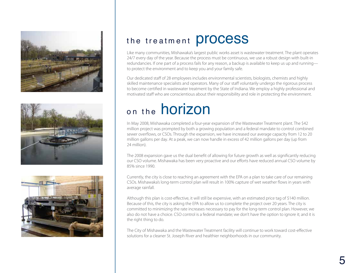





### the treatment **process**

Like many communities, Mishawaka's largest public works asset is wastewater treatment. The plant operates 24/7 every day of the year. Because the process must be continuous, we use a robust design with built-in redundancies. If one part of a process fails for any reason, a backup is available to keep us up and running to protect the environment and to keep you and your family safe.

Our dedicated staff of 28 employees includes environmental scientists, biologists, chemists and highly skilled maintenance specialists and operators. Many of our staff voluntarily undergo the rigorous process to become certified in wastewater treatment by the State of Indiana. We employ a highly professional and motivated staff who are conscientious about their responsibility and role in protecting the environment.

# on the **horizon**

In May 2008, Mishawaka completed a four-year expansion of the Wastewater Treatment plant. The \$42 million project was prompted by both a growing population and a federal mandate to control combined sewer overflows, or CSOs. Through the expansion, we have increased our average capacity from 12 to 20 million gallons per day. At a peak, we can now handle in excess of 42 million gallons per day (up from 24 million).

The 2008 expansion gave us the dual benefit of allowing for future growth as well as significantly reducing our CSO volume. Mishawaka has been very proactive and our efforts have reduced annual CSO volume by 85% since 1990.

Currently, the city is close to reaching an agreement with the EPA on a plan to take care of our remaining CSOs. Mishawaka's long-term control plan will result in 100% capture of wet weather flows in years with average rainfall.

Although this plan is cost-effective, it will still be expensive, with an estimated price tag of \$140 million. Because of this, the city is asking the EPA to allow us to complete the project over 20 years. The city is committed to minimizing the rate increases necessary to pay for the long-term control plan. However, we also do not have a choice. CSO control is a federal mandate; we don't have the option to ignore it; and it is the right thing to do.

The City of Mishawaka and the Wastewater Treatment facility will continue to work toward cost-effective solutions for a cleaner St. Joseph River and healthier neighborhoods in our community.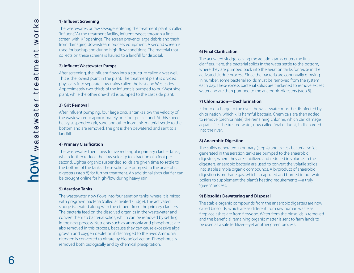#### **1) Influent Screening**

The wastewater, or raw sewage, entering the treatment plant is called "influent." At the treatment facility, influent passes through a fine screen with ¼" openings. The screen prevents large debris and trash from damaging downstream process equipment. A second screen is used for backup and during high-flow conditions. The material that collects on these screens is hauled to a landfill for disposal.

#### **2) Influent Wastewater Pumps**

After screening, the influent flows into a structure called a wet well. This is the lowest point in the plant. The treatment plant is divided physically into separate flow trains called the East and West sides. Approximately two-thirds of the influent is pumped to our West side plant, while the other one-third is pumped to the East side plant.

#### **3) Grit Removal**

After influent pumping, four large circular tanks slow the velocity of the wastewater to approximately one foot per second. At this speed, heavy suspended grit, sand and other inorganic material settle to the bottom and are removed. The grit is then dewatered and sent to a landfill.

#### **4) Primary Clarification**

The wastewater then flows to five rectangular primary clarifier tanks, which further reduce the flow velocity to a fraction of a foot per second. Lighter organic suspended solids are given time to settle to the bottom of the tanks. These solids are pumped to the anaerobic digesters (step 8) for further treatment. An additional sixth clarifier can be brought online for high-flow during heavy rain.

#### **5) Aeration Tanks**

The wastewater now flows into four aeration tanks, where it is mixed with pregrown bacteria (called activated sludge). The activated sludge is aerated along with the effluent from the primary clarifiers. The bacteria feed on the dissolved organics in the wastewater and convert them to bacterial solids, which can be removed by settling in the next process. Nutrients such as ammonia and phosphorus are also removed in this process, because they can cause excessive algal growth and oxygen depletion if discharged to the river. Ammonia nitrogen is converted to nitrate by biological action. Phosphorus is removed both biologically and by chemical precipitation.

#### **6) Final Clarification**

The activated sludge leaving the aeration tanks enters the final clarifiers. Here, the bacterial solids in the water settle to the bottom, where they are pumped back into the aeration tanks for reuse in the activated sludge process. Since the bacteria are continually growing in number, some bacterial solids must be removed from the system each day. These excess bacterial solids are thickened to remove excess water and are then pumped to the anaerobic digesters (step 8).

#### **7) Chlorination—Dechlorination**

Prior to discharge to the river, the wastewater must be disinfected by chlorination, which kills harmful bacteria. Chemicals are then added to remove (dechlorinate) the remaining chlorine, which can damage aquatic life. The treated water, now called final effluent, is discharged into the river.

#### **8) Anaerobic Digestion**

The solids generated in primary (step 4) and excess bacterial solids generated in the aeration tanks are pumped to the anaerobic digesters, where they are stabilized and reduced in volume. In the digesters, anaerobic bacteria are used to convert the volatile solids into stable simple organic compounds. A byproduct of anaerobic digestion is methane gas, which is captured and burned in hot water boilers to supplement the plant's heating requirements—a truly "green" process.

#### **9) Biosolids Dewatering and Disposal**

The stable organic compounds from the anaerobic digesters are now called biosolids, which are as different from raw human waste as fireplace ashes are from firewood. Water from the biosolids is removed and the beneficial remaining organic matter is sent to farm lands to be used as a safe fertilizer—yet another green process.